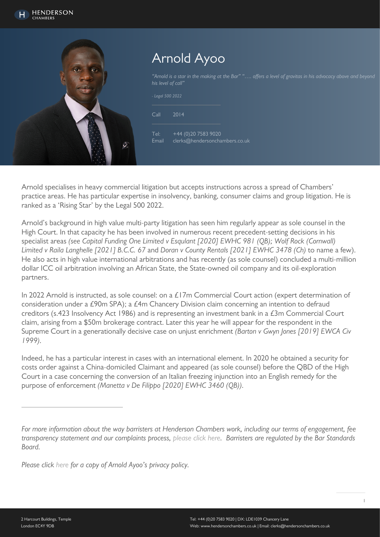

# Arnold Ayoo

"Arnold is a star in the making at the Bar" "…. offers a level of gravitas in his advocacy above and beyond his level of call"

.<br>co.uk

| - Legal 500 2022     |                                                  |
|----------------------|--------------------------------------------------|
| Call                 | 2014                                             |
| Tel:<br><b>Fmail</b> | +44 (0) 20 7583 9020<br>clerks@hendersonchambers |

Arnold specialises in heavy commercial litigation but accepts instructions across a spread of Chambers' practice areas. He has particular expertise in insolvency, banking, consumer claims and group litigation. He is ranked as a 'Rising Star' by the Legal 500 2022.

Arnold's background in high value multi-party litigation has seen him regularly appear as sole counsel in the High Court. In that capacity he has been involved in numerous recent precedent-setting decisions in his specialist areas (see Capital Funding One Limited v Esqulant [2020] EWHC 981 (OB); Wolf Rock (Cornwall) Limited v Raila Langhelle [2021] B.C.C. 67 and Doran v County Rentals [2021] EWHC 3478 (Ch) to name a few). He also acts in high value international arbitrations and has recently (as sole counsel) concluded a multi-million dollar ICC oil arbitration involving an African State, the State-owned oil company and its oil-exploration partners.

In 2022 Arnold is instructed, as sole counsel: on a £17m Commercial Court action (expert determination of consideration under a £90m SPA); a  $£4$ m Chancery Division claim concerning an intention to defraud creditors (s.423 Insolvency Act 1986) and is representing an investment bank in a £3m Commercial Court claim, arising from a \$50m brokerage contract. Later this year he will appear for the respondent in the Supreme Court in a generationally decisive case on unjust enrichment (Barton v Gwyn Jones [2019] EWCA Civ 1999).

Indeed, he has a particular interest in cases with an international element. In 2020 he obtained a security for costs order against a China-domiciled Claimant and appeared (as sole counsel) before the QBD of the High Court in a case concerning the conversion of an Italian freezing injunction into an English remedy for the purpose of enforcement (Manetta v De Filippo [2020] EWHC 3460 (QB)).

Please click [here](https://www.hendersonchambers.co.uk/wp-content/uploads/2021/09/AA-privacy-policy-6-September-2021.pdf) for a copy of Arnold Ayoo's privacy policy.

For more information about the way barristers at Henderson Chambers work, including our terms of engagement, fee transparency statement and our complaints process, [please click here](https://www.hendersonchambers.co.uk/about-us/how-to-instruct-us-and-terms/). Barristers are regulated by the Bar Standards Board.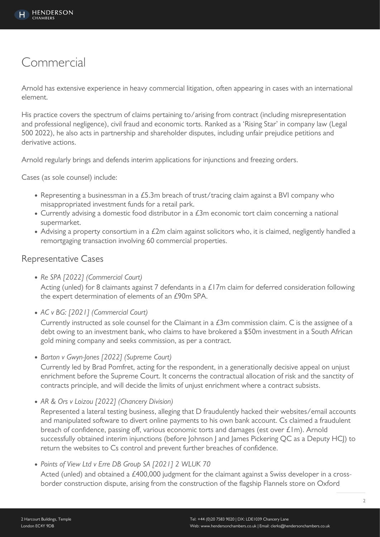## Commercial

Arnold has extensive experience in heavy commercial litigation, often appearing in cases with an international element.

His practice covers the spectrum of claims pertaining to/arising from contract (including misrepresentation and professional negligence), civil fraud and economic torts. Ranked as a 'Rising Star' in company law (Legal 500 2022), he also acts in partnership and shareholder disputes, including unfair prejudice petitions and derivative actions.

Arnold regularly brings and defends interim applications for injunctions and freezing orders.

Cases (as sole counsel) include:

- Representing a businessman in a £5.3m breach of trust/tracing claim against a BVI company who misappropriated investment funds for a retail park.
- Currently advising a domestic food distributor in a £3m economic tort claim concerning a national supermarket.
- Advising a property consortium in a £2m claim against solicitors who, it is claimed, negligently handled a remortgaging transaction involving 60 commercial properties.

### Representative Cases

• Re SPA [2022] (Commercial Court)

Acting (unled) for 8 claimants against 7 defendants in a  $£17m$  claim for deferred consideration following the expert determination of elements of an £90m SPA.

AC v BG: [2021] (Commercial Court)

Currently instructed as sole counsel for the Claimant in a  $E3m$  commission claim. C is the assignee of a debt owing to an investment bank, who claims to have brokered a \$50m investment in a South African gold mining company and seeks commission, as per a contract.

• Barton v Gwyn-Jones [2022] (Supreme Court)

Currently led by Brad Pomfret, acting for the respondent, in a generationally decisive appeal on unjust enrichment before the Supreme Court. It concerns the contractual allocation of risk and the sanctity of contracts principle, and will decide the limits of unjust enrichment where a contract subsists.

• AR & Ors v Loizou [2022] (Chancery Division)

Represented a lateral testing business, alleging that D fraudulently hacked their websites/email accounts and manipulated software to divert online payments to his own bank account. Cs claimed a fraudulent breach of confidence, passing off, various economic torts and damages (est over £1m). Arnold successfully obtained interim injunctions (before Johnson J and James Pickering QC as a Deputy HCJ) to return the websites to Cs control and prevent further breaches of confidence.

• Points of View Ltd v Erre DB Group SA [2021] 2 WLUK 70

Acted (unled) and obtained a £400,000 judgment for the claimant against a Swiss developer in a crossborder construction dispute, arising from the construction of the flagship Flannels store on Oxford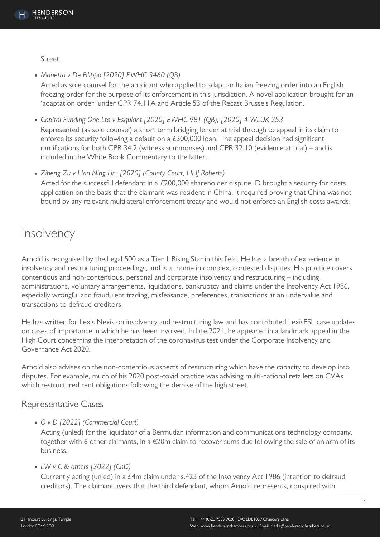Street.

• Manetta v De Filippo [2020] EWHC 3460 (QB) Acted as sole counsel for the applicant who applied to adapt an Italian freezing order into an English freezing order for the purpose of its enforcement in this jurisdiction. A novel application brought for an 'adaptation order' under CPR 74.11A and Article 53 of the Recast Brussels Regulation.

Capital Funding One Ltd v Esqulant [2020] EWHC 981 (QB); [2020] 4 WLUK 253 Represented (as sole counsel) a short term bridging lender at trial through to appeal in its claim to enforce its security following a default on a £300,000 loan. The appeal decision had significant ramifications for both CPR 34.2 (witness summonses) and CPR 32.10 (evidence at trial) – and is included in the White Book Commentary to the latter.

• Ziheng Zu v Han Ning Lim [2020] (County Court, HHJ Roberts) Acted for the successful defendant in a £200,000 shareholder dispute. D brought a security for costs application on the basis that the claimant was resident in China. It required proving that China was not bound by any relevant multilateral enforcement treaty and would not enforce an English costs awards.

## **Insolvency**

Arnold is recognised by the Legal 500 as a Tier 1 Rising Star in this field. He has a breath of experience in insolvency and restructuring proceedings, and is at home in complex, contested disputes. His practice covers contentious and non-contentious, personal and corporate insolvency and restructuring – including administrations, voluntary arrangements, liquidations, bankruptcy and claims under the Insolvency Act 1986, especially wrongful and fraudulent trading, misfeasance, preferences, transactions at an undervalue and transactions to defraud creditors.

He has written for Lexis Nexis on insolvency and restructuring law and has contributed LexisPSL case updates on cases of importance in which he has been involved. In late 2021, he appeared in a landmark appeal in the High Court concerning the interpretation of the coronavirus test under the Corporate Insolvency and Governance Act 2020.

Arnold also advises on the non-contentious aspects of restructuring which have the capacity to develop into disputes. For example, much of his 2020 post-covid practice was advising multi-national retailers on CVAs which restructured rent obligations following the demise of the high street.

## Representative Cases

O v D [2022] (Commercial Court)

Acting (unled) for the liquidator of a Bermudan information and communications technology company, together with 6 other claimants, in a €20m claim to recover sums due following the sale of an arm of its business.

LW v C & others [2022] (ChD)

Currently acting (unled) in a £4m claim under s.423 of the Insolvency Act 1986 (intention to defraud creditors). The claimant avers that the third defendant, whom Arnold represents, conspired with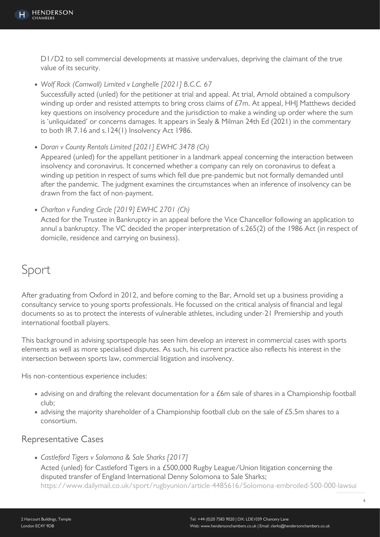D1/D2 to sell commercial developments at massive undervalues, depriving the claimant of the true value of its security.

Wolf Rock (Cornwall) Limited v Langhelle [2021] B.C.C. 67

Successfully acted (unled) for the petitioner at trial and appeal. At trial, Arnold obtained a compulsory winding up order and resisted attempts to bring cross claims of £7m. At appeal, HHJ Matthews decided key questions on insolvency procedure and the jurisdiction to make a winding up order where the sum is 'unliquidated' or concerns damages. It appears in Sealy & Milman 24th Ed (2021) in the commentary to both IR 7.16 and s.124(1) Insolvency Act 1986.

Doran v County Rentals Limited [2021] EWHC 3478 (Ch)

Appeared (unled) for the appellant petitioner in a landmark appeal concerning the interaction between insolvency and coronavirus. It concerned whether a company can rely on coronavirus to defeat a winding up petition in respect of sums which fell due pre-pandemic but not formally demanded until after the pandemic. The judgment examines the circumstances when an inference of insolvency can be drawn from the fact of non-payment.

• Charlton v Funding Circle [2019] EWHC 2701 (Ch)

Acted for the Trustee in Bankruptcy in an appeal before the Vice Chancellor following an application to annul a bankruptcy. The VC decided the proper interpretation of s.265(2) of the 1986 Act (in respect of domicile, residence and carrying on business).

## Sport

After graduating from Oxford in 2012, and before coming to the Bar, Arnold set up a business providing a consultancy service to young sports professionals. He focussed on the critical analysis of financial and legal documents so as to protect the interests of vulnerable athletes, including under-21 Premiership and youth international football players.

This background in advising sportspeople has seen him develop an interest in commercial cases with sports elements as well as more specialised disputes. As such, his current practice also reflects his interest in the intersection between sports law, commercial litigation and insolvency.

His non-contentious experience includes:

- advising on and drafting the relevant documentation for a £6m sale of shares in a Championship football club;
- advising the majority shareholder of a Championship football club on the sale of £5.5m shares to a consortium.

## Representative Cases

• Castleford Tigers v Solomona & Sale Sharks [2017] Acted (unled) for Castleford Tigers in a £500,000 Rugby League/Union litigation concerning the disputed transfer of England International Denny Solomona to Sale Sharks; [https://www.dailymail.co.uk/sport/rugbyunion/article-4485616/Solomona-embroiled-500-000-lawsui](https://www.dailymail.co.uk/sport/rugbyunion/article-4485616/Solomona-embroiled-500-000-lawsuit-Castleford.html)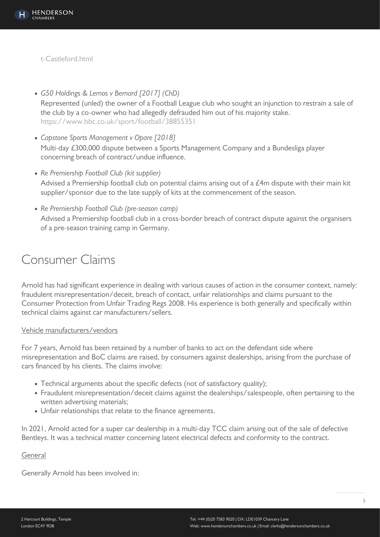[t-Castleford.html](https://www.dailymail.co.uk/sport/rugbyunion/article-4485616/Solomona-embroiled-500-000-lawsuit-Castleford.html)

- G50 Holdings & Lemos v Bernard [2017] (ChD) Represented (unled) the owner of a Football League club who sought an injunction to restrain a sale of the club by a co-owner who had allegedly defrauded him out of his majority stake. <https://www.bbc.co.uk/sport/football/38855351>
- Capstone Sports Management v Opare [2018] Multi-day £300,000 dispute between a Sports Management Company and a Bundesliga player concerning breach of contract/undue influence.
- Re Premiership Football Club (kit supplier) Advised a Premiership football club on potential claims arising out of a £4m dispute with their main kit supplier/sponsor due to the late supply of kits at the commencement of the season.
- Re Premiership Football Club (pre-season camp) Advised a Premiership football club in a cross-border breach of contract dispute against the organisers of a pre-season training camp in Germany.

## Consumer Claims

Arnold has had significant experience in dealing with various causes of action in the consumer context, namely: fraudulent misrepresentation/deceit, breach of contact, unfair relationships and claims pursuant to the Consumer Protection from Unfair Trading Regs 2008. His experience is both generally and specifically within technical claims against car manufacturers/sellers.

#### Vehicle manufacturers/vendors

For 7 years, Arnold has been retained by a number of banks to act on the defendant side where misrepresentation and BoC claims are raised, by consumers against dealerships, arising from the purchase of cars financed by his clients. The claims involve:

- Technical arguments about the specific defects (not of satisfactory quality);
- Fraudulent misrepresentation/deceit claims against the dealerships/salespeople, often pertaining to the written advertising materials;
- Unfair relationships that relate to the finance agreements.

In 2021, Arnold acted for a super car dealership in a multi-day TCC claim arising out of the sale of defective Bentleys. It was a technical matter concerning latent electrical defects and conformity to the contract.

#### General

Generally Arnold has been involved in: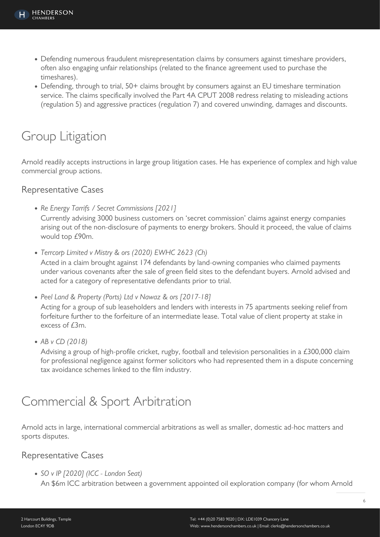- Defending numerous fraudulent misrepresentation claims by consumers against timeshare providers, often also engaging unfair relationships (related to the finance agreement used to purchase the timeshares).
- Defending, through to trial, 50+ claims brought by consumers against an EU timeshare termination service. The claims specifically involved the Part 4A CPUT 2008 redress relating to misleading actions (regulation 5) and aggressive practices (regulation 7) and covered unwinding, damages and discounts.

# Group Litigation

Arnold readily accepts instructions in large group litigation cases. He has experience of complex and high value commercial group actions.

### Representative Cases

- Re Energy Tarrifs / Secret Commissions [2021] Currently advising 3000 business customers on 'secret commission' claims against energy companies arising out of the non-disclosure of payments to energy brokers. Should it proceed, the value of claims would top £90m.
- Terrcorp Limited v Mistry & ors (2020) EWHC 2623 (Ch)

Acted in a claim brought against 174 defendants by land-owning companies who claimed payments under various covenants after the sale of green field sites to the defendant buyers. Arnold advised and acted for a category of representative defendants prior to trial.

• Peel Land & Property (Ports) Ltd v Nawaz & ors [2017-18]

Acting for a group of sub leaseholders and lenders with interests in 75 apartments seeking relief from forfeiture further to the forfeiture of an intermediate lease. Total value of client property at stake in excess of £3m.

• AB v CD (2018)

Advising a group of high-profile cricket, rugby, football and television personalities in a £300,000 claim for professional negligence against former solicitors who had represented them in a dispute concerning tax avoidance schemes linked to the film industry.

# Commercial & Sport Arbitration

Arnold acts in large, international commercial arbitrations as well as smaller, domestic ad-hoc matters and sports disputes.

## Representative Cases

• SO v IP [2020] (ICC - London Seat)

An \$6m ICC arbitration between a government appointed oil exploration company (for whom Arnold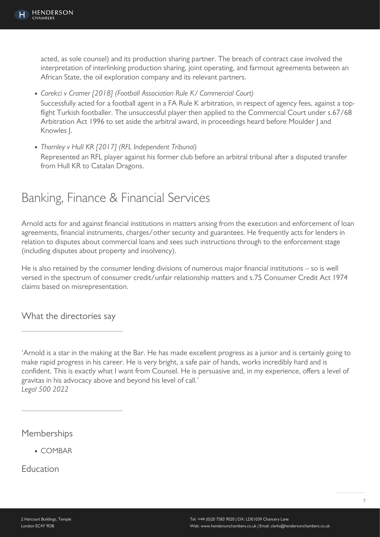acted, as sole counsel) and its production sharing partner. The breach of contract case involved the interpretation of interlinking production sharing, joint operating, and farmout agreements between an African State, the oil exploration company and its relevant partners.

- Corekci v Cramer [2018] (Football Association Rule K/ Commercial Court) Successfully acted for a football agent in a FA Rule K arbitration, in respect of agency fees, against a topflight Turkish footballer. The unsuccessful player then applied to the Commercial Court under s.67/68 Arbitration Act 1996 to set aside the arbitral award, in proceedings heard before Moulder | and Knowles J.
- Thornley v Hull KR [2017] (RFL Independent Tribunal) Represented an RFL player against his former club before an arbitral tribunal after a disputed transfer from Hull KR to Catalan Dragons.

# Banking, Finance & Financial Services

Arnold acts for and against financial institutions in matters arising from the execution and enforcement of loan agreements, financial instruments, charges/other security and guarantees. He frequently acts for lenders in relation to disputes about commercial loans and sees such instructions through to the enforcement stage (including disputes about property and insolvency).

He is also retained by the consumer lending divisions of numerous major financial institutions – so is well versed in the spectrum of consumer credit/unfair relationship matters and s.75 Consumer Credit Act 1974 claims based on misrepresentation.

What the directories say

'Arnold is a star in the making at the Bar. He has made excellent progress as a junior and is certainly going to make rapid progress in his career. He is very bright, a safe pair of hands, works incredibly hard and is confident. This is exactly what I want from Counsel. He is persuasive and, in my experience, offers a level of gravitas in his advocacy above and beyond his level of call.' Legal 500 2022

## Memberships

COMBAR

Education